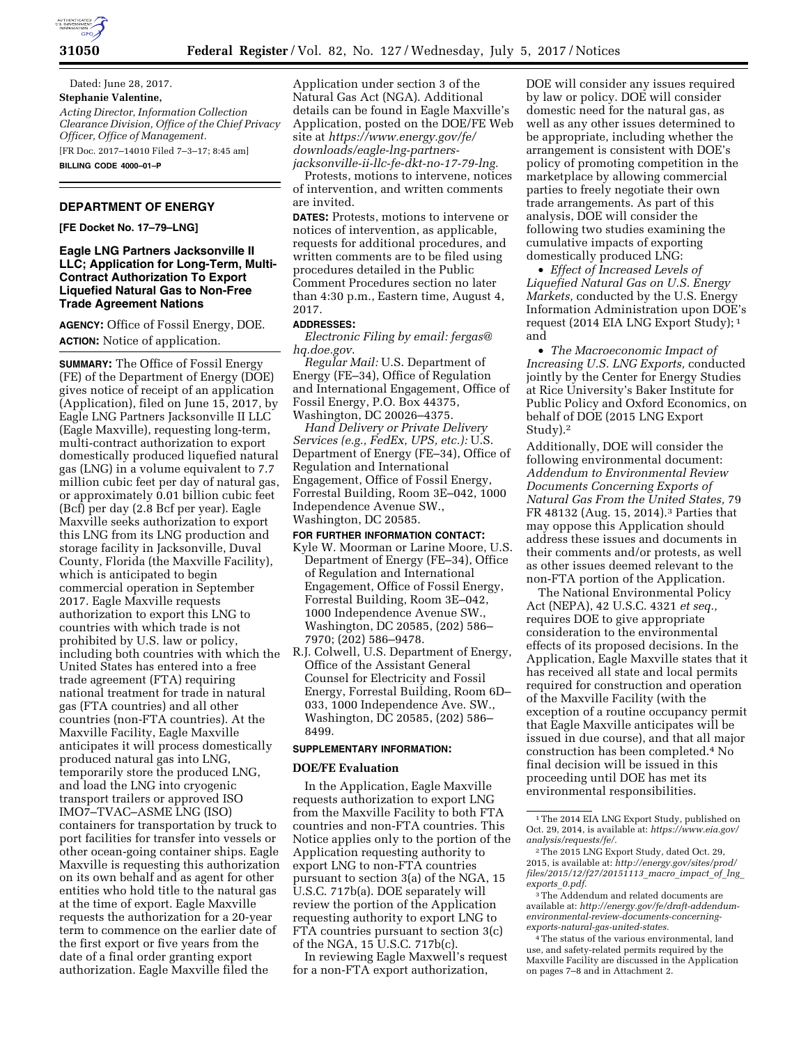

Dated: June 28, 2017. **Stephanie Valentine,**  *Acting Director, Information Collection Clearance Division, Office of the Chief Privacy Officer, Office of Management.*  [FR Doc. 2017–14010 Filed 7–3–17; 8:45 am]

**BILLING CODE 4000–01–P** 

# **DEPARTMENT OF ENERGY**

**[FE Docket No. 17–79–LNG]** 

# **Eagle LNG Partners Jacksonville II LLC; Application for Long-Term, Multi-Contract Authorization To Export Liquefied Natural Gas to Non-Free Trade Agreement Nations**

**AGENCY:** Office of Fossil Energy, DOE. **ACTION:** Notice of application.

**SUMMARY:** The Office of Fossil Energy (FE) of the Department of Energy (DOE) gives notice of receipt of an application (Application), filed on June 15, 2017, by Eagle LNG Partners Jacksonville II LLC (Eagle Maxville), requesting long-term, multi-contract authorization to export domestically produced liquefied natural gas (LNG) in a volume equivalent to 7.7 million cubic feet per day of natural gas, or approximately 0.01 billion cubic feet (Bcf) per day (2.8 Bcf per year). Eagle Maxville seeks authorization to export this LNG from its LNG production and storage facility in Jacksonville, Duval County, Florida (the Maxville Facility), which is anticipated to begin commercial operation in September 2017. Eagle Maxville requests authorization to export this LNG to countries with which trade is not prohibited by U.S. law or policy, including both countries with which the United States has entered into a free trade agreement (FTA) requiring national treatment for trade in natural gas (FTA countries) and all other countries (non-FTA countries). At the Maxville Facility, Eagle Maxville anticipates it will process domestically produced natural gas into LNG, temporarily store the produced LNG, and load the LNG into cryogenic transport trailers or approved ISO IMO7–TVAC–ASME LNG (ISO) containers for transportation by truck to port facilities for transfer into vessels or other ocean-going container ships. Eagle Maxville is requesting this authorization on its own behalf and as agent for other entities who hold title to the natural gas at the time of export. Eagle Maxville requests the authorization for a 20-year term to commence on the earlier date of the first export or five years from the date of a final order granting export authorization. Eagle Maxville filed the

Application under section 3 of the Natural Gas Act (NGA). Additional details can be found in Eagle Maxville's Application, posted on the DOE/FE Web site at *[https://www.energy.gov/fe/](https://www.energy.gov/fe/downloads/eagle-lng-partners-jacksonville-ii-llc-fe-dkt-no-17-79-lng)  [downloads/eagle-lng-partners](https://www.energy.gov/fe/downloads/eagle-lng-partners-jacksonville-ii-llc-fe-dkt-no-17-79-lng)[jacksonville-ii-llc-fe-dkt-no-17-79-lng.](https://www.energy.gov/fe/downloads/eagle-lng-partners-jacksonville-ii-llc-fe-dkt-no-17-79-lng)* 

Protests, motions to intervene, notices of intervention, and written comments are invited.

**DATES:** Protests, motions to intervene or notices of intervention, as applicable, requests for additional procedures, and written comments are to be filed using procedures detailed in the Public Comment Procedures section no later than 4:30 p.m., Eastern time, August 4, 2017.

## **ADDRESSES:**

*Electronic Filing by email: [fergas@](mailto:fergas@hq.doe.gov) [hq.doe.gov](mailto:fergas@hq.doe.gov)*.

*Regular Mail:* U.S. Department of Energy (FE–34), Office of Regulation and International Engagement, Office of Fossil Energy, P.O. Box 44375, Washington, DC 20026–4375.

*Hand Delivery or Private Delivery Services (e.g., FedEx, UPS, etc.):* U.S. Department of Energy (FE–34), Office of Regulation and International Engagement, Office of Fossil Energy, Forrestal Building, Room 3E–042, 1000 Independence Avenue SW., Washington, DC 20585.

#### **FOR FURTHER INFORMATION CONTACT:**

- Kyle W. Moorman or Larine Moore, U.S. Department of Energy (FE–34), Office of Regulation and International Engagement, Office of Fossil Energy, Forrestal Building, Room 3E–042, 1000 Independence Avenue SW., Washington, DC 20585, (202) 586– 7970; (202) 586–9478.
- R.J. Colwell, U.S. Department of Energy, Office of the Assistant General Counsel for Electricity and Fossil Energy, Forrestal Building, Room 6D– 033, 1000 Independence Ave. SW., Washington, DC 20585, (202) 586– 8499.

### **SUPPLEMENTARY INFORMATION:**

#### **DOE/FE Evaluation**

In the Application, Eagle Maxville requests authorization to export LNG from the Maxville Facility to both FTA countries and non-FTA countries. This Notice applies only to the portion of the Application requesting authority to export LNG to non-FTA countries pursuant to section 3(a) of the NGA, 15 U.S.C. 717b(a). DOE separately will review the portion of the Application requesting authority to export LNG to FTA countries pursuant to section 3(c) of the NGA, 15 U.S.C. 717b(c).

In reviewing Eagle Maxwell's request for a non-FTA export authorization,

DOE will consider any issues required by law or policy. DOE will consider domestic need for the natural gas, as well as any other issues determined to be appropriate, including whether the arrangement is consistent with DOE's policy of promoting competition in the marketplace by allowing commercial parties to freely negotiate their own trade arrangements. As part of this analysis, DOE will consider the following two studies examining the cumulative impacts of exporting domestically produced LNG:

• *Effect of Increased Levels of Liquefied Natural Gas on U.S. Energy Markets,* conducted by the U.S. Energy Information Administration upon DOE's request (2014 EIA LNG Export Study); 1 and

• *The Macroeconomic Impact of Increasing U.S. LNG Exports,* conducted jointly by the Center for Energy Studies at Rice University's Baker Institute for Public Policy and Oxford Economics, on behalf of DOE (2015 LNG Export Study).2

Additionally, DOE will consider the following environmental document: *Addendum to Environmental Review Documents Concerning Exports of Natural Gas From the United States,* 79 FR 48132 (Aug. 15, 2014).3 Parties that may oppose this Application should address these issues and documents in their comments and/or protests, as well as other issues deemed relevant to the non-FTA portion of the Application.

The National Environmental Policy Act (NEPA), 42 U.S.C. 4321 *et seq.,*  requires DOE to give appropriate consideration to the environmental effects of its proposed decisions. In the Application, Eagle Maxville states that it has received all state and local permits required for construction and operation of the Maxville Facility (with the exception of a routine occupancy permit that Eagle Maxville anticipates will be issued in due course), and that all major construction has been completed.4 No final decision will be issued in this proceeding until DOE has met its environmental responsibilities.

<sup>1</sup>The 2014 EIA LNG Export Study, published on Oct. 29, 2014, is available at: *[https://www.eia.gov/](https://www.eia.gov/analysis/requests/fe/)  [analysis/requests/fe/.](https://www.eia.gov/analysis/requests/fe/)* 

<sup>2</sup>The 2015 LNG Export Study, dated Oct. 29, 2015, is available at: *[http://energy.gov/sites/prod/](http://energy.gov/sites/prod/files/2015/12/f27/20151113_macro_impact_of_lng_exports_0.pdf)  [files/2015/12/f27/20151113](http://energy.gov/sites/prod/files/2015/12/f27/20151113_macro_impact_of_lng_exports_0.pdf)*\_*macro*\_*impact*\_*of*\_*lng*\_ *[exports](http://energy.gov/sites/prod/files/2015/12/f27/20151113_macro_impact_of_lng_exports_0.pdf)*\_*0.pdf.* 

<sup>3</sup>The Addendum and related documents are available at: *[http://energy.gov/fe/draft-addendum](http://energy.gov/fe/draft-addendum-environmental-review-documents-concerning-exports-natural-gas-united-states)[environmental-review-documents-concerning](http://energy.gov/fe/draft-addendum-environmental-review-documents-concerning-exports-natural-gas-united-states)[exports-natural-gas-united-states.](http://energy.gov/fe/draft-addendum-environmental-review-documents-concerning-exports-natural-gas-united-states)* 

<sup>4</sup>The status of the various environmental, land use, and safety-related permits required by the Maxville Facility are discussed in the Application on pages 7–8 and in Attachment 2.